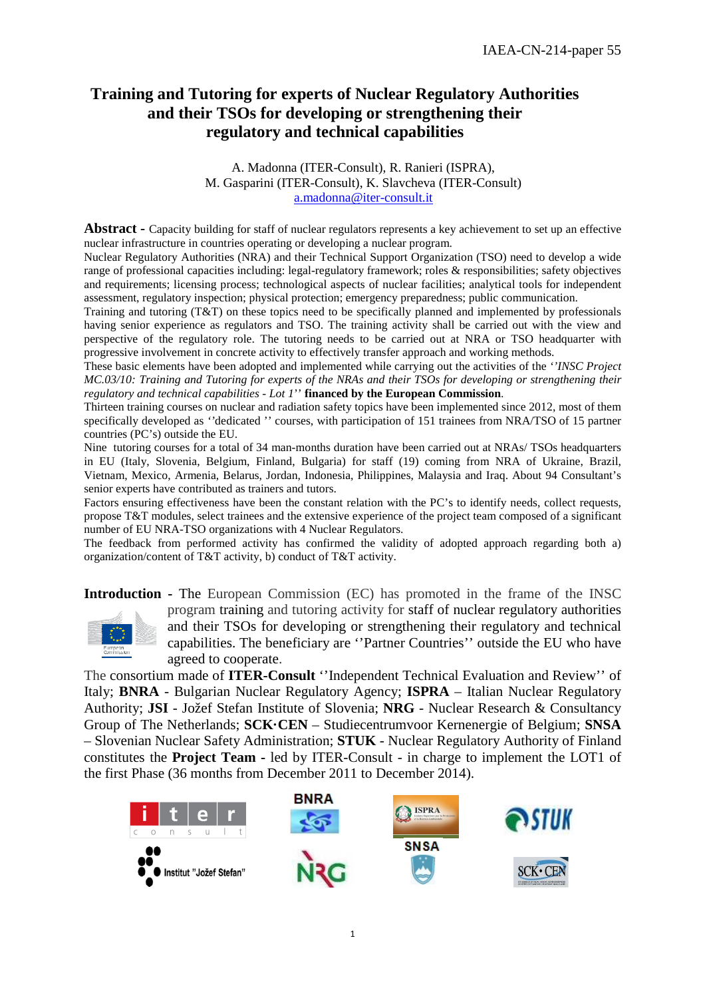# **Training and Tutoring for experts of Nuclear Regulatory Authorities and their TSOs for developing or strengthening their regulatory and technical capabilities**

A. Madonna (ITER-Consult), R. Ranieri (ISPRA), M. Gasparini (ITER-Consult), K. Slavcheva (ITER-Consult) a.madonna@iter-consult.it

**Abstract -** Capacity building for staff of nuclear regulators represents a key achievement to set up an effective nuclear infrastructure in countries operating or developing a nuclear program.

Nuclear Regulatory Authorities (NRA) and their Technical Support Organization (TSO) need to develop a wide range of professional capacities including: legal-regulatory framework; roles & responsibilities; safety objectives and requirements; licensing process; technological aspects of nuclear facilities; analytical tools for independent assessment, regulatory inspection; physical protection; emergency preparedness; public communication.

Training and tutoring (T&T) on these topics need to be specifically planned and implemented by professionals having senior experience as regulators and TSO. The training activity shall be carried out with the view and perspective of the regulatory role. The tutoring needs to be carried out at NRA or TSO headquarter with progressive involvement in concrete activity to effectively transfer approach and working methods.

These basic elements have been adopted and implemented while carrying out the activities of the *''INSC Project MC.03/10: Training and Tutoring for experts of the NRAs and their TSOs for developing or strengthening their regulatory and technical capabilities - Lot 1*'' **financed by the European Commission**.

Thirteen training courses on nuclear and radiation safety topics have been implemented since 2012, most of them specifically developed as *''*dedicated '' courses, with participation of 151 trainees from NRA/TSO of 15 partner countries (PC's) outside the EU.

Nine tutoring courses for a total of 34 man-months duration have been carried out at NRAs/ TSOs headquarters in EU (Italy, Slovenia, Belgium, Finland, Bulgaria) for staff (19) coming from NRA of Ukraine, Brazil, Vietnam, Mexico, Armenia, Belarus, Jordan, Indonesia, Philippines, Malaysia and Iraq. About 94 Consultant's senior experts have contributed as trainers and tutors.

Factors ensuring effectiveness have been the constant relation with the PC's to identify needs, collect requests, propose T&T modules, select trainees and the extensive experience of the project team composed of a significant number of EU NRA-TSO organizations with 4 Nuclear Regulators.

The feedback from performed activity has confirmed the validity of adopted approach regarding both a) organization/content of T&T activity, b) conduct of T&T activity.

**Introduction -** The European Commission (EC) has promoted in the frame of the INSC program training and tutoring activity for staff of nuclear regulatory authorities and their TSOs for developing or strengthening their regulatory and technical capabilities. The beneficiary are ''Partner Countries'' outside the EU who have agreed to cooperate.

The consortium made of **ITER-Consult** ''Independent Technical Evaluation and Review'' of Italy; **BNRA** - Bulgarian Nuclear Regulatory Agency; **ISPRA** – Italian Nuclear Regulatory Authority; **JSI** - Jožef Stefan Institute of Slovenia; **NRG** - Nuclear Research & Consultancy Group of The Netherlands; **SCK·CEN** – Studiecentrumvoor Kernenergie of Belgium; **SNSA** – Slovenian Nuclear Safety Administration; **STUK** - Nuclear Regulatory Authority of Finland constitutes the **Project Team -** led by ITER-Consult - in charge to implement the LOT1 of the first Phase (36 months from December 2011 to December 2014).

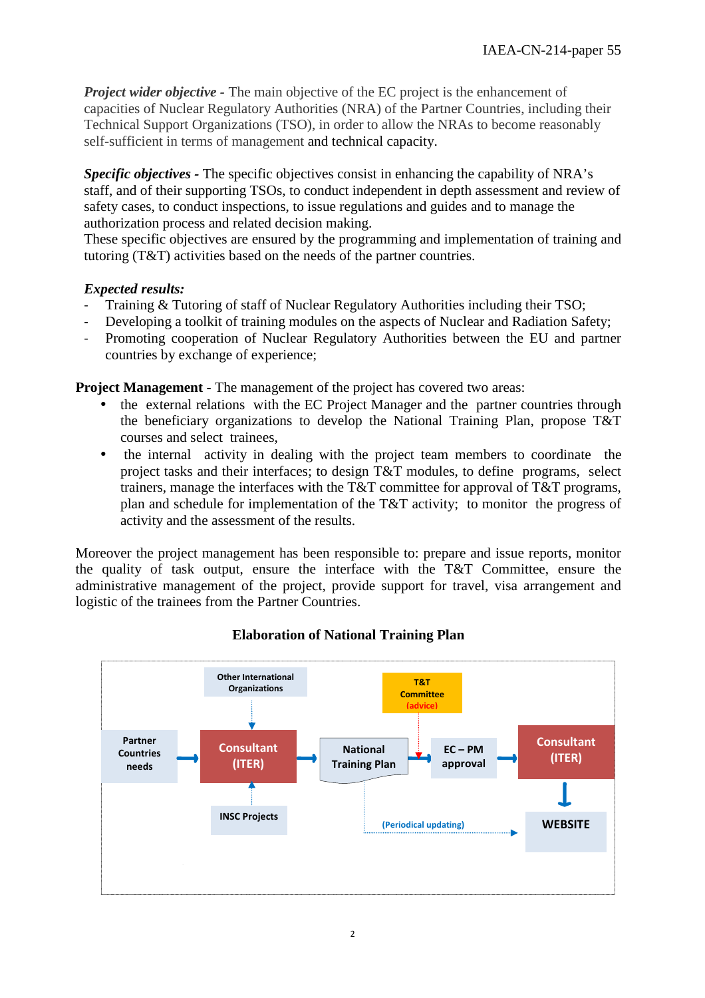*Project wider objective* - The main objective of the EC project is the enhancement of capacities of Nuclear Regulatory Authorities (NRA) of the Partner Countries, including their Technical Support Organizations (TSO), in order to allow the NRAs to become reasonably self-sufficient in terms of management and technical capacity.

*Specific objectives -* The specific objectives consist in enhancing the capability of NRA's staff, and of their supporting TSOs, to conduct independent in depth assessment and review of safety cases, to conduct inspections, to issue regulations and guides and to manage the authorization process and related decision making.

These specific objectives are ensured by the programming and implementation of training and tutoring (T&T) activities based on the needs of the partner countries.

### *Expected results:*

- Training & Tutoring of staff of Nuclear Regulatory Authorities including their TSO;
- Developing a toolkit of training modules on the aspects of Nuclear and Radiation Safety;
- Promoting cooperation of Nuclear Regulatory Authorities between the EU and partner countries by exchange of experience;

**Project Management - The management of the project has covered two areas:** 

- the external relations with the EC Project Manager and the partner countries through the beneficiary organizations to develop the National Training Plan, propose T&T courses and select trainees,
- the internal activity in dealing with the project team members to coordinate the project tasks and their interfaces; to design T&T modules, to define programs, select trainers, manage the interfaces with the T&T committee for approval of T&T programs, plan and schedule for implementation of the T&T activity; to monitor the progress of activity and the assessment of the results.

Moreover the project management has been responsible to: prepare and issue reports, monitor the quality of task output, ensure the interface with the T&T Committee, ensure the administrative management of the project, provide support for travel, visa arrangement and logistic of the trainees from the Partner Countries.



## **Elaboration of National Training Plan**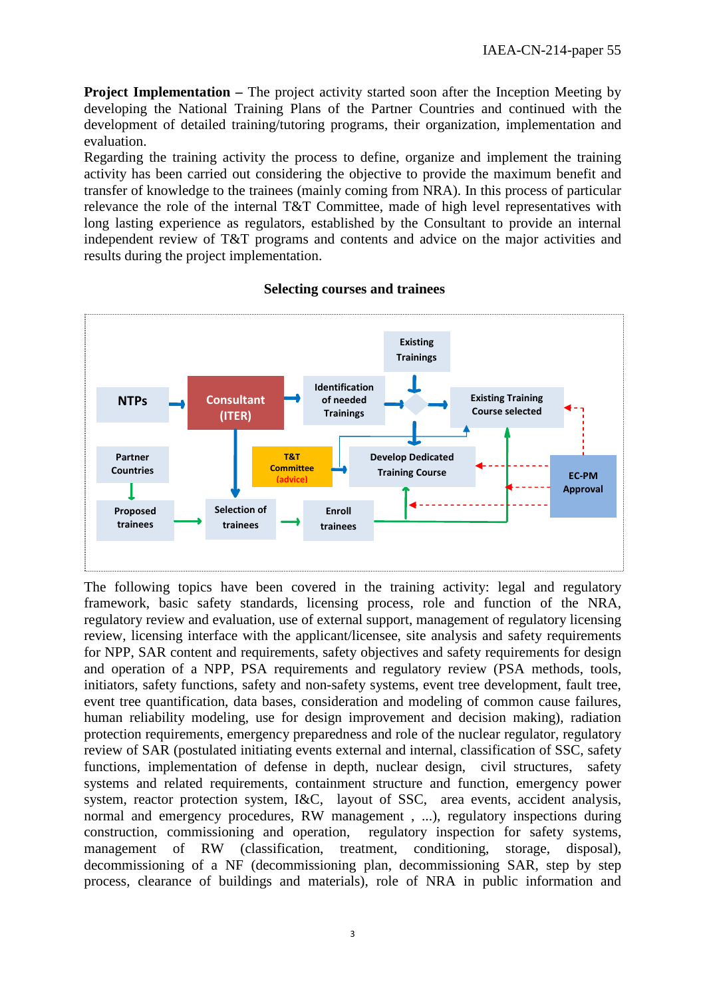**Project Implementation – The project activity started soon after the Inception Meeting by** developing the National Training Plans of the Partner Countries and continued with the development of detailed training/tutoring programs, their organization, implementation and evaluation.

Regarding the training activity the process to define, organize and implement the training activity has been carried out considering the objective to provide the maximum benefit and transfer of knowledge to the trainees (mainly coming from NRA). In this process of particular relevance the role of the internal T&T Committee, made of high level representatives with long lasting experience as regulators, established by the Consultant to provide an internal independent review of T&T programs and contents and advice on the major activities and results during the project implementation.



#### **Selecting courses and trainees**

The following topics have been covered in the training activity: legal and regulatory framework, basic safety standards, licensing process, role and function of the NRA, regulatory review and evaluation, use of external support, management of regulatory licensing review, licensing interface with the applicant/licensee, site analysis and safety requirements for NPP, SAR content and requirements, safety objectives and safety requirements for design and operation of a NPP, PSA requirements and regulatory review (PSA methods, tools, initiators, safety functions, safety and non-safety systems, event tree development, fault tree, event tree quantification, data bases, consideration and modeling of common cause failures, human reliability modeling, use for design improvement and decision making), radiation protection requirements, emergency preparedness and role of the nuclear regulator, regulatory review of SAR (postulated initiating events external and internal, classification of SSC, safety functions, implementation of defense in depth, nuclear design, civil structures, safety systems and related requirements, containment structure and function, emergency power system, reactor protection system, I&C, layout of SSC, area events, accident analysis, normal and emergency procedures, RW management , ...), regulatory inspections during construction, commissioning and operation, regulatory inspection for safety systems, management of RW (classification, treatment, conditioning, storage, disposal), decommissioning of a NF (decommissioning plan, decommissioning SAR, step by step process, clearance of buildings and materials), role of NRA in public information and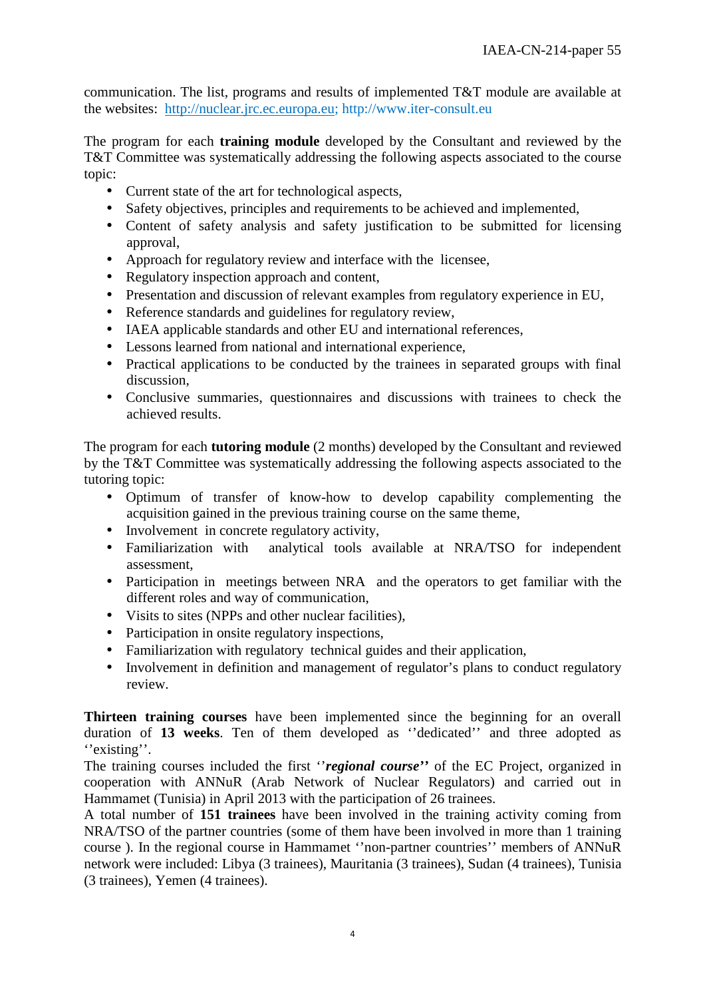communication. The list, programs and results of implemented T&T module are available at the websites: http://nuclear.jrc.ec.europa.eu; http://www.iter-consult.eu

The program for each **training module** developed by the Consultant and reviewed by the T&T Committee was systematically addressing the following aspects associated to the course topic:

- Current state of the art for technological aspects,
- Safety objectives, principles and requirements to be achieved and implemented,
- Content of safety analysis and safety justification to be submitted for licensing approval,
- Approach for regulatory review and interface with the licensee,
- Regulatory inspection approach and content,
- Presentation and discussion of relevant examples from regulatory experience in EU,
- Reference standards and guidelines for regulatory review.
- IAEA applicable standards and other EU and international references,
- Lessons learned from national and international experience,
- Practical applications to be conducted by the trainees in separated groups with final discussion,
- Conclusive summaries, questionnaires and discussions with trainees to check the achieved results.

The program for each **tutoring module** (2 months) developed by the Consultant and reviewed by the T&T Committee was systematically addressing the following aspects associated to the tutoring topic:

- Optimum of transfer of know-how to develop capability complementing the acquisition gained in the previous training course on the same theme,
- Involvement in concrete regulatory activity,
- Familiarization with analytical tools available at NRA/TSO for independent assessment,
- Participation in meetings between NRA and the operators to get familiar with the different roles and way of communication,
- Visits to sites (NPPs and other nuclear facilities),
- Participation in onsite regulatory inspections,
- Familiarization with regulatory technical guides and their application,
- Involvement in definition and management of regulator's plans to conduct regulatory review.

**Thirteen training courses** have been implemented since the beginning for an overall duration of **13 weeks**. Ten of them developed as ''dedicated'' and three adopted as "existing".

The training courses included the first ''*regional course''* of the EC Project, organized in cooperation with ANNuR (Arab Network of Nuclear Regulators) and carried out in Hammamet (Tunisia) in April 2013 with the participation of 26 trainees.

A total number of **151 trainees** have been involved in the training activity coming from NRA/TSO of the partner countries (some of them have been involved in more than 1 training course ). In the regional course in Hammamet ''non-partner countries'' members of ANNuR network were included: Libya (3 trainees), Mauritania (3 trainees), Sudan (4 trainees), Tunisia (3 trainees), Yemen (4 trainees).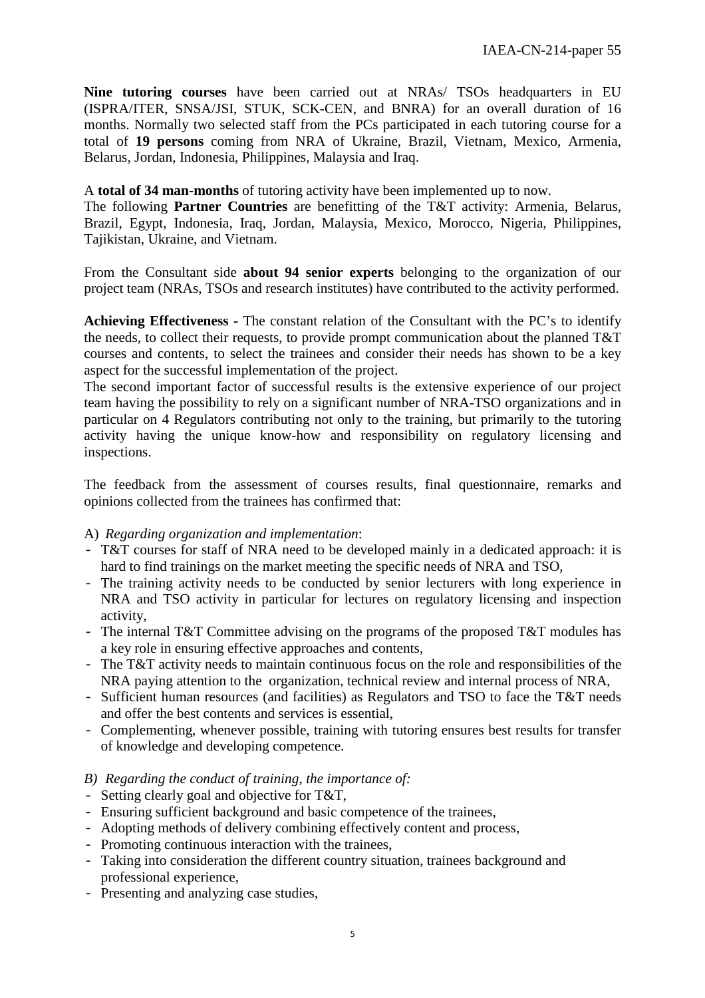**Nine tutoring courses** have been carried out at NRAs/ TSOs headquarters in EU (ISPRA/ITER, SNSA/JSI, STUK, SCK-CEN, and BNRA) for an overall duration of 16 months. Normally two selected staff from the PCs participated in each tutoring course for a total of **19 persons** coming from NRA of Ukraine, Brazil, Vietnam, Mexico, Armenia, Belarus, Jordan, Indonesia, Philippines, Malaysia and Iraq.

#### A **total of 34 man-months** of tutoring activity have been implemented up to now.

The following **Partner Countries** are benefitting of the T&T activity: Armenia, Belarus, Brazil, Egypt, Indonesia, Iraq, Jordan, Malaysia, Mexico, Morocco, Nigeria, Philippines, Tajikistan, Ukraine, and Vietnam.

From the Consultant side **about 94 senior experts** belonging to the organization of our project team (NRAs, TSOs and research institutes) have contributed to the activity performed.

**Achieving Effectiveness -** The constant relation of the Consultant with the PC's to identify the needs, to collect their requests, to provide prompt communication about the planned T&T courses and contents, to select the trainees and consider their needs has shown to be a key aspect for the successful implementation of the project.

The second important factor of successful results is the extensive experience of our project team having the possibility to rely on a significant number of NRA-TSO organizations and in particular on 4 Regulators contributing not only to the training, but primarily to the tutoring activity having the unique know-how and responsibility on regulatory licensing and inspections.

The feedback from the assessment of courses results, final questionnaire, remarks and opinions collected from the trainees has confirmed that:

#### A) *Regarding organization and implementation*:

- T&T courses for staff of NRA need to be developed mainly in a dedicated approach: it is hard to find trainings on the market meeting the specific needs of NRA and TSO,
- The training activity needs to be conducted by senior lecturers with long experience in NRA and TSO activity in particular for lectures on regulatory licensing and inspection activity,
- The internal T&T Committee advising on the programs of the proposed T&T modules has a key role in ensuring effective approaches and contents,
- The T&T activity needs to maintain continuous focus on the role and responsibilities of the NRA paying attention to the organization, technical review and internal process of NRA,
- Sufficient human resources (and facilities) as Regulators and TSO to face the T&T needs and offer the best contents and services is essential,
- Complementing, whenever possible, training with tutoring ensures best results for transfer of knowledge and developing competence.

#### *B) Regarding the conduct of training, the importance of:*

- Setting clearly goal and objective for T&T,
- Ensuring sufficient background and basic competence of the trainees,
- Adopting methods of delivery combining effectively content and process,
- Promoting continuous interaction with the trainees,
- Taking into consideration the different country situation, trainees background and professional experience,
- Presenting and analyzing case studies,